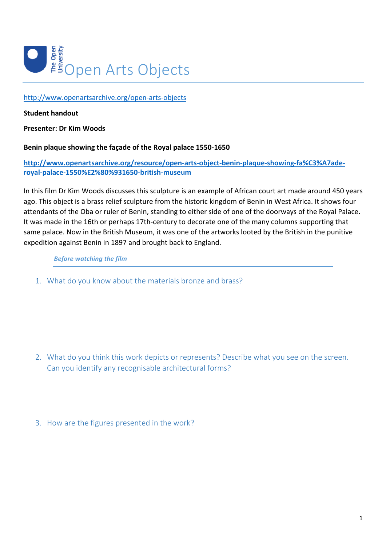

http://www.openartsarchive.org/open-arts-objects

# **Student handout**

**Presenter: Dr Kim Woods**

# Benin plaque showing the façade of the Royal palace 1550-1650

**http://www.openartsarchive.org/resource/open-arts-object-benin-plaque-showing-fa%C3%A7aderoyal-palace-1550%E2%80%931650-british-museum**

In this film Dr Kim Woods discusses this sculpture is an example of African court art made around 450 years ago. This object is a brass relief sculpture from the historic kingdom of Benin in West Africa. It shows four attendants of the Oba or ruler of Benin, standing to either side of one of the doorways of the Royal Palace. It was made in the 16th or perhaps 17th-century to decorate one of the many columns supporting that same palace. Now in the British Museum, it was one of the artworks looted by the British in the punitive expedition against Benin in 1897 and brought back to England.

**Before** watching the film

1. What do you know about the materials bronze and brass?

- 2. What do you think this work depicts or represents? Describe what you see on the screen. Can you identify any recognisable architectural forms?
- 3. How are the figures presented in the work?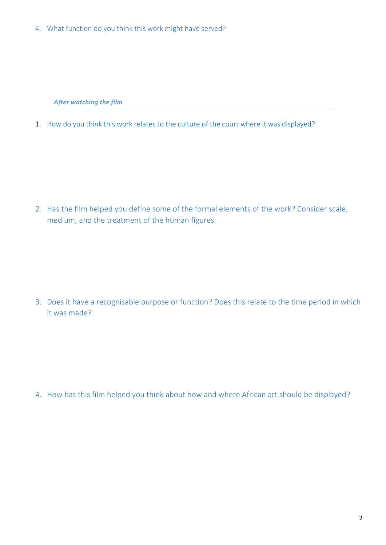4. What function do you think this work might have served?

**After watching the film** 

1. How do you think this work relates to the culture of the court where it was displayed?

2. Has the film helped you define some of the formal elements of the work? Consider scale, medium, and the treatment of the human figures.

3. Does it have a recognisable purpose or function? Does this relate to the time period in which it was made?

4. How has this film helped you think about how and where African art should be displayed?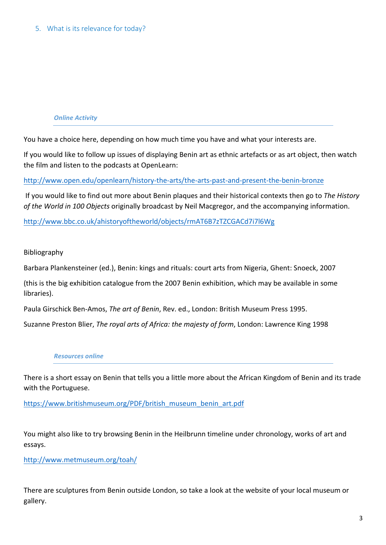# *Online Activity*

You have a choice here, depending on how much time you have and what your interests are.

If you would like to follow up issues of displaying Benin art as ethnic artefacts or as art object, then watch the film and listen to the podcasts at OpenLearn:

http://www.open.edu/openlearn/history-the-arts/the-arts-past-and-present-the-benin-bronze

If you would like to find out more about Benin plaques and their historical contexts then go to *The History* of the World in 100 Objects originally broadcast by Neil Macgregor, and the accompanying information.

http://www.bbc.co.uk/ahistoryoftheworld/objects/rmAT6B7zTZCGACd7i7l6Wg

### Bibliography

Barbara Plankensteiner (ed.), Benin: kings and rituals: court arts from Nigeria, Ghent: Snoeck, 2007

(this is the big exhibition catalogue from the 2007 Benin exhibition, which may be available in some libraries).

Paula Girschick Ben-Amos, *The art of Benin*, Rev. ed., London: British Museum Press 1995.

Suzanne Preston Blier, *The royal arts of Africa: the majesty of form*, London: Lawrence King 1998

#### *Resources online*

There is a short essay on Benin that tells you a little more about the African Kingdom of Benin and its trade with the Portuguese.

https://www.britishmuseum.org/PDF/british\_museum\_benin\_art.pdf

You might also like to try browsing Benin in the Heilbrunn timeline under chronology, works of art and essays.

http://www.metmuseum.org/toah/

There are sculptures from Benin outside London, so take a look at the website of your local museum or gallery.